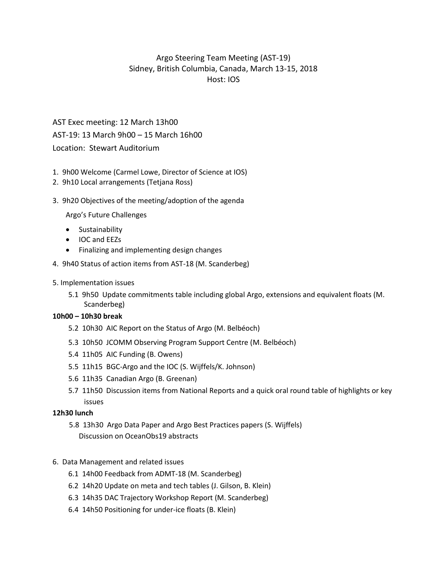# Argo Steering Team Meeting (AST-19) Sidney, British Columbia, Canada, March 13-15, 2018 Host: IOS

# AST Exec meeting: 12 March 13h00 AST-19: 13 March 9h00 – 15 March 16h00 Location: Stewart Auditorium

- 1. 9h00 Welcome (Carmel Lowe, Director of Science at IOS)
- 2. 9h10 Local arrangements (Tetjana Ross)
- 3. 9h20 Objectives of the meeting/adoption of the agenda

Argo's Future Challenges

- **•** Sustainability
- IOC and EEZs
- Finalizing and implementing design changes
- 4. 9h40 Status of action items from AST-18 (M. Scanderbeg)
- 5. Implementation issues
	- 5.1 9h50 Update commitments table including global Argo, extensions and equivalent floats (M. Scanderbeg)

#### **10h00 – 10h30 break**

- 5.2 10h30 AIC Report on the Status of Argo (M. Belbéoch)
- 5.3 10h50 JCOMM Observing Program Support Centre (M. Belbéoch)
- 5.4 11h05 AIC Funding (B. Owens)
- 5.5 11h15 BGC-Argo and the IOC (S. Wijffels/K. Johnson)
- 5.6 11h35 Canadian Argo (B. Greenan)
- 5.7 11h50 Discussion items from National Reports and a quick oral round table of highlights or key issues

#### **12h30 lunch**

5.8 13h30 Argo Data Paper and Argo Best Practices papers (S. Wijffels) Discussion on OceanObs19 abstracts

# 6. Data Management and related issues

- 6.1 14h00 Feedback from ADMT-18 (M. Scanderbeg)
- 6.2 14h20 Update on meta and tech tables (J. Gilson, B. Klein)
- 6.3 14h35 DAC Trajectory Workshop Report (M. Scanderbeg)
- 6.4 14h50 Positioning for under-ice floats (B. Klein)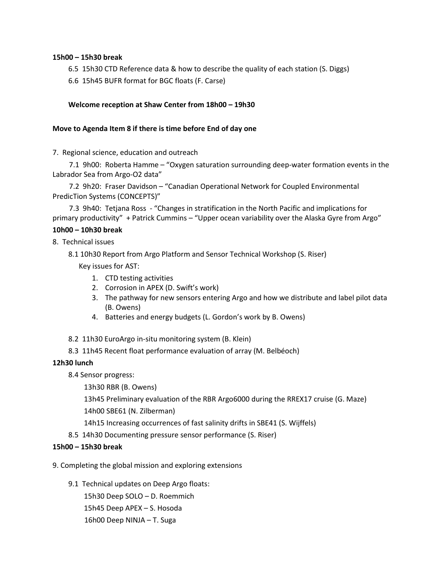# **15h00 – 15h30 break**

- 6.5 15h30 CTD Reference data & how to describe the quality of each station (S. Diggs)
- 6.6 15h45 BUFR format for BGC floats (F. Carse)

#### **Welcome reception at Shaw Center from 18h00 – 19h30**

#### **Move to Agenda Item 8 if there is time before End of day one**

7. Regional science, education and outreach

7.1 9h00: Roberta Hamme – "Oxygen saturation surrounding deep-water formation events in the Labrador Sea from Argo-O2 data"

7.2 9h20: Fraser Davidson – "Canadian Operational Network for Coupled Environmental PredicTion Systems (CONCEPTS)"

7.3 9h40: Tetjana Ross - "Changes in stratification in the North Pacific and implications for primary productivity" + Patrick Cummins – "Upper ocean variability over the Alaska Gyre from Argo"

# **10h00 – 10h30 break**

8. Technical issues

8.1 10h30 Report from Argo Platform and Sensor Technical Workshop (S. Riser)

Key issues for AST:

- 1. CTD testing activities
- 2. Corrosion in APEX (D. Swift's work)
- 3. The pathway for new sensors entering Argo and how we distribute and label pilot data (B. Owens)
- 4. Batteries and energy budgets (L. Gordon's work by B. Owens)
- 8.2 11h30 EuroArgo in-situ monitoring system (B. Klein)
- 8.3 11h45 Recent float performance evaluation of array (M. Belbéoch)

#### **12h30 lunch**

8.4 Sensor progress:

13h30 RBR (B. Owens)

13h45 Preliminary evaluation of the RBR Argo6000 during the RREX17 cruise (G. Maze)

14h00 SBE61 (N. Zilberman)

14h15 Increasing occurrences of fast salinity drifts in SBE41 (S. Wijffels)

8.5 14h30 Documenting pressure sensor performance (S. Riser)

#### **15h00 – 15h30 break**

9. Completing the global mission and exploring extensions

9.1 Technical updates on Deep Argo floats:

15h30 Deep SOLO – D. Roemmich 15h45 Deep APEX – S. Hosoda 16h00 Deep NINJA – T. Suga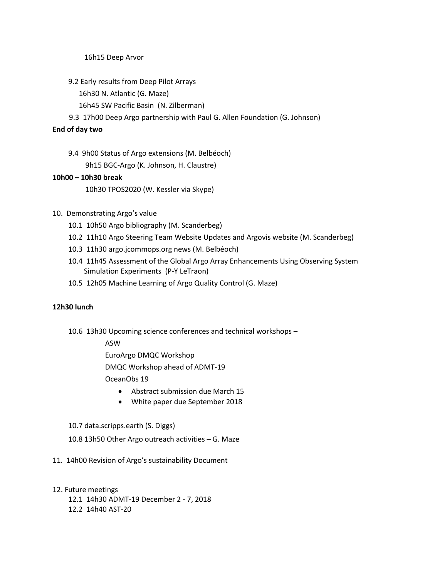16h15 Deep Arvor

- 9.2 Early results from Deep Pilot Arrays
	- 16h30 N. Atlantic (G. Maze)
	- 16h45 SW Pacific Basin (N. Zilberman)
- 9.3 17h00 Deep Argo partnership with Paul G. Allen Foundation (G. Johnson)

# **End of day two**

9.4 9h00 Status of Argo extensions (M. Belbéoch) 9h15 BGC-Argo (K. Johnson, H. Claustre)

# **10h00 – 10h30 break**

10h30 TPOS2020 (W. Kessler via Skype)

- 10. Demonstrating Argo's value
	- 10.1 10h50 Argo bibliography (M. Scanderbeg)
	- 10.2 11h10 Argo Steering Team Website Updates and Argovis website (M. Scanderbeg)
	- 10.3 11h30 argo.jcommops.org news (M. Belbéoch)
	- 10.4 11h45 Assessment of the Global Argo Array Enhancements Using Observing System Simulation Experiments (P-Y LeTraon)
	- 10.5 12h05 Machine Learning of Argo Quality Control (G. Maze)

# **12h30 lunch**

10.6 13h30 Upcoming science conferences and technical workshops –

ASW

EuroArgo DMQC Workshop DMQC Workshop ahead of ADMT-19

OceanObs 19

- Abstract submission due March 15
- White paper due September 2018

# 10.7 data.scripps.earth (S. Diggs)

- 10.8 13h50 Other Argo outreach activities G. Maze
- 11. 14h00 Revision of Argo's sustainability Document
- 12. Future meetings
	- 12.1 14h30 ADMT-19 December 2 7, 2018
	- 12.2 14h40 AST-20